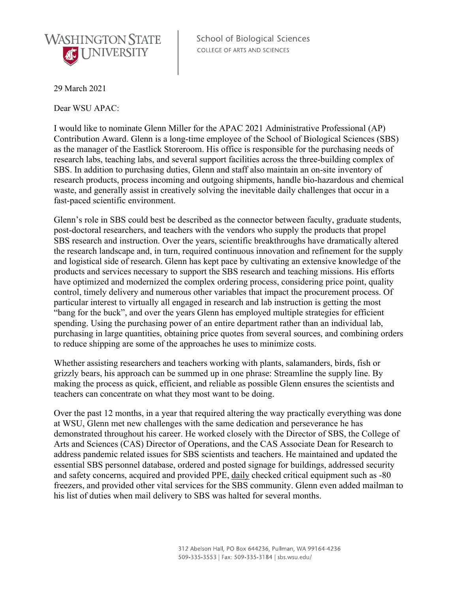

**School of Biological Sciences** COLLEGE OF ARTS AND SCIENCES

29 March 2021

Dear WSU APAC:

I would like to nominate Glenn Miller for the APAC 2021 Administrative Professional (AP) Contribution Award. Glenn is a long-time employee of the School of Biological Sciences (SBS) as the manager of the Eastlick Storeroom. His office is responsible for the purchasing needs of research labs, teaching labs, and several support facilities across the three-building complex of SBS. In addition to purchasing duties, Glenn and staff also maintain an on-site inventory of research products, process incoming and outgoing shipments, handle bio-hazardous and chemical waste, and generally assist in creatively solving the inevitable daily challenges that occur in a fast-paced scientific environment.

Glenn's role in SBS could best be described as the connector between faculty, graduate students, post-doctoral researchers, and teachers with the vendors who supply the products that propel SBS research and instruction. Over the years, scientific breakthroughs have dramatically altered the research landscape and, in turn, required continuous innovation and refinement for the supply and logistical side of research. Glenn has kept pace by cultivating an extensive knowledge of the products and services necessary to support the SBS research and teaching missions. His efforts have optimized and modernized the complex ordering process, considering price point, quality control, timely delivery and numerous other variables that impact the procurement process. Of particular interest to virtually all engaged in research and lab instruction is getting the most "bang for the buck", and over the years Glenn has employed multiple strategies for efficient spending. Using the purchasing power of an entire department rather than an individual lab, purchasing in large quantities, obtaining price quotes from several sources, and combining orders to reduce shipping are some of the approaches he uses to minimize costs.

Whether assisting researchers and teachers working with plants, salamanders, birds, fish or grizzly bears, his approach can be summed up in one phrase: Streamline the supply line. By making the process as quick, efficient, and reliable as possible Glenn ensures the scientists and teachers can concentrate on what they most want to be doing.

Over the past 12 months, in a year that required altering the way practically everything was done at WSU, Glenn met new challenges with the same dedication and perseverance he has demonstrated throughout his career. He worked closely with the Director of SBS, the College of Arts and Sciences (CAS) Director of Operations, and the CAS Associate Dean for Research to address pandemic related issues for SBS scientists and teachers. He maintained and updated the essential SBS personnel database, ordered and posted signage for buildings, addressed security and safety concerns, acquired and provided PPE, daily checked critical equipment such as -80 freezers, and provided other vital services for the SBS community. Glenn even added mailman to his list of duties when mail delivery to SBS was halted for several months.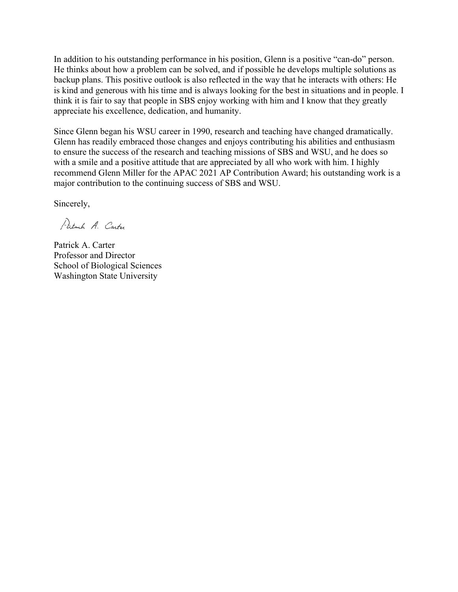In addition to his outstanding performance in his position, Glenn is a positive "can-do" person. He thinks about how a problem can be solved, and if possible he develops multiple solutions as backup plans. This positive outlook is also reflected in the way that he interacts with others: He is kind and generous with his time and is always looking for the best in situations and in people. I think it is fair to say that people in SBS enjoy working with him and I know that they greatly appreciate his excellence, dedication, and humanity.

Since Glenn began his WSU career in 1990, research and teaching have changed dramatically. Glenn has readily embraced those changes and enjoys contributing his abilities and enthusiasm to ensure the success of the research and teaching missions of SBS and WSU, and he does so with a smile and a positive attitude that are appreciated by all who work with him. I highly recommend Glenn Miller for the APAC 2021 AP Contribution Award; his outstanding work is a major contribution to the continuing success of SBS and WSU.

Sincerely,

Patrick A. Carter

Patrick A. Carter Professor and Director School of Biological Sciences Washington State University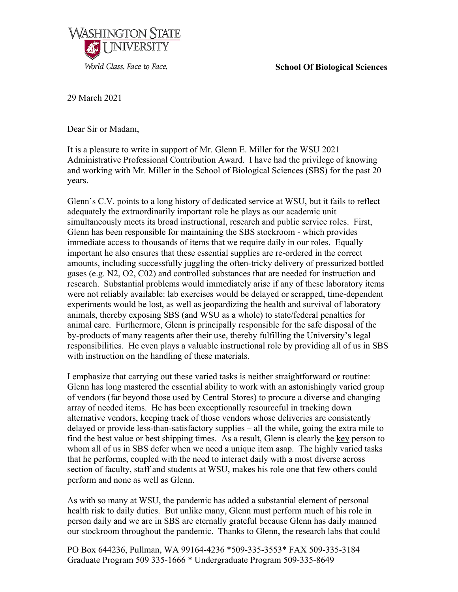## **School Of Biological Sciences**



29 March 2021

Dear Sir or Madam,

It is a pleasure to write in support of Mr. Glenn E. Miller for the WSU 2021 Administrative Professional Contribution Award. I have had the privilege of knowing and working with Mr. Miller in the School of Biological Sciences (SBS) for the past 20 years.

Glenn's C.V. points to a long history of dedicated service at WSU, but it fails to reflect adequately the extraordinarily important role he plays as our academic unit simultaneously meets its broad instructional, research and public service roles. First, Glenn has been responsible for maintaining the SBS stockroom - which provides immediate access to thousands of items that we require daily in our roles. Equally important he also ensures that these essential supplies are re-ordered in the correct amounts, including successfully juggling the often-tricky delivery of pressurized bottled gases (e.g. N2, O2, C02) and controlled substances that are needed for instruction and research. Substantial problems would immediately arise if any of these laboratory items were not reliably available: lab exercises would be delayed or scrapped, time-dependent experiments would be lost, as well as jeopardizing the health and survival of laboratory animals, thereby exposing SBS (and WSU as a whole) to state/federal penalties for animal care. Furthermore, Glenn is principally responsible for the safe disposal of the by-products of many reagents after their use, thereby fulfilling the University's legal responsibilities. He even plays a valuable instructional role by providing all of us in SBS with instruction on the handling of these materials.

I emphasize that carrying out these varied tasks is neither straightforward or routine: Glenn has long mastered the essential ability to work with an astonishingly varied group of vendors (far beyond those used by Central Stores) to procure a diverse and changing array of needed items. He has been exceptionally resourceful in tracking down alternative vendors, keeping track of those vendors whose deliveries are consistently delayed or provide less-than-satisfactory supplies – all the while, going the extra mile to find the best value or best shipping times. As a result, Glenn is clearly the key person to whom all of us in SBS defer when we need a unique item asap. The highly varied tasks that he performs, coupled with the need to interact daily with a most diverse across section of faculty, staff and students at WSU, makes his role one that few others could perform and none as well as Glenn.

As with so many at WSU, the pandemic has added a substantial element of personal health risk to daily duties. But unlike many, Glenn must perform much of his role in person daily and we are in SBS are eternally grateful because Glenn has daily manned our stockroom throughout the pandemic. Thanks to Glenn, the research labs that could

PO Box 644236, Pullman, WA 99164-4236 \*509-335-3553\* FAX 509-335-3184 Graduate Program 509 335-1666 \* Undergraduate Program 509-335-8649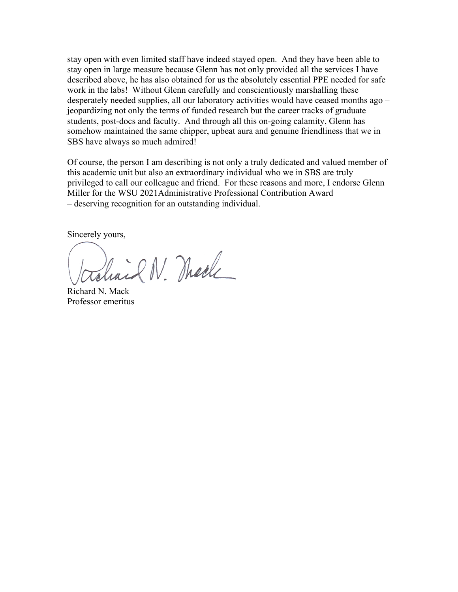stay open with even limited staff have indeed stayed open. And they have been able to stay open in large measure because Glenn has not only provided all the services I have described above, he has also obtained for us the absolutely essential PPE needed for safe work in the labs! Without Glenn carefully and conscientiously marshalling these desperately needed supplies, all our laboratory activities would have ceased months ago – jeopardizing not only the terms of funded research but the career tracks of graduate students, post-docs and faculty. And through all this on-going calamity, Glenn has somehow maintained the same chipper, upbeat aura and genuine friendliness that we in SBS have always so much admired!

Of course, the person I am describing is not only a truly dedicated and valued member of this academic unit but also an extraordinary individual who we in SBS are truly privileged to call our colleague and friend. For these reasons and more, I endorse Glenn Miller for the WSU 2021Administrative Professional Contribution Award – deserving recognition for an outstanding individual.

Sincerely yours,

roliail N. Mache

Richard N. Mack Professor emeritus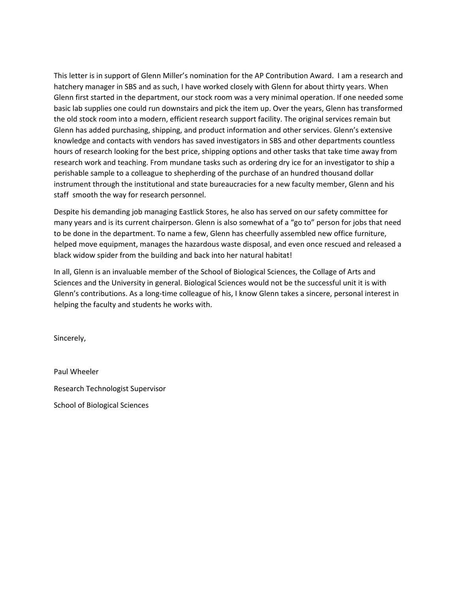This letter is in support of Glenn Miller's nomination for the AP Contribution Award. I am a research and hatchery manager in SBS and as such, I have worked closely with Glenn for about thirty years. When Glenn first started in the department, our stock room was a very minimal operation. If one needed some basic lab supplies one could run downstairs and pick the item up. Over the years, Glenn has transformed the old stock room into a modern, efficient research support facility. The original services remain but Glenn has added purchasing, shipping, and product information and other services. Glenn's extensive knowledge and contacts with vendors has saved investigators in SBS and other departments countless hours of research looking for the best price, shipping options and other tasks that take time away from research work and teaching. From mundane tasks such as ordering dry ice for an investigator to ship a perishable sample to a colleague to shepherding of the purchase of an hundred thousand dollar instrument through the institutional and state bureaucracies for a new faculty member, Glenn and his staff smooth the way for research personnel.

Despite his demanding job managing Eastlick Stores, he also has served on our safety committee for many years and is its current chairperson. Glenn is also somewhat of a "go to" person for jobs that need to be done in the department. To name a few, Glenn has cheerfully assembled new office furniture, helped move equipment, manages the hazardous waste disposal, and even once rescued and released a black widow spider from the building and back into her natural habitat!

In all, Glenn is an invaluable member of the School of Biological Sciences, the Collage of Arts and Sciences and the University in general. Biological Sciences would not be the successful unit it is with Glenn's contributions. As a long‐time colleague of his, I know Glenn takes a sincere, personal interest in helping the faculty and students he works with.

Sincerely,

Paul Wheeler Research Technologist Supervisor School of Biological Sciences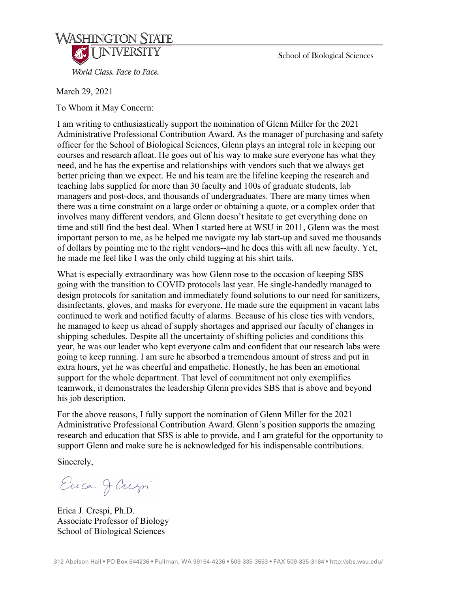

School of Biological Sciences

March 29, 2021

To Whom it May Concern:

I am writing to enthusiastically support the nomination of Glenn Miller for the 2021 Administrative Professional Contribution Award. As the manager of purchasing and safety officer for the School of Biological Sciences, Glenn plays an integral role in keeping our courses and research afloat. He goes out of his way to make sure everyone has what they need, and he has the expertise and relationships with vendors such that we always get better pricing than we expect. He and his team are the lifeline keeping the research and teaching labs supplied for more than 30 faculty and 100s of graduate students, lab managers and post-docs, and thousands of undergraduates. There are many times when there was a time constraint on a large order or obtaining a quote, or a complex order that involves many different vendors, and Glenn doesn't hesitate to get everything done on time and still find the best deal. When I started here at WSU in 2011, Glenn was the most important person to me, as he helped me navigate my lab start-up and saved me thousands of dollars by pointing me to the right vendors--and he does this with all new faculty. Yet, he made me feel like I was the only child tugging at his shirt tails.

What is especially extraordinary was how Glenn rose to the occasion of keeping SBS going with the transition to COVID protocols last year. He single-handedly managed to design protocols for sanitation and immediately found solutions to our need for sanitizers, disinfectants, gloves, and masks for everyone. He made sure the equipment in vacant labs continued to work and notified faculty of alarms. Because of his close ties with vendors, he managed to keep us ahead of supply shortages and apprised our faculty of changes in shipping schedules. Despite all the uncertainty of shifting policies and conditions this year, he was our leader who kept everyone calm and confident that our research labs were going to keep running. I am sure he absorbed a tremendous amount of stress and put in extra hours, yet he was cheerful and empathetic. Honestly, he has been an emotional support for the whole department. That level of commitment not only exemplifies teamwork, it demonstrates the leadership Glenn provides SBS that is above and beyond his job description.

For the above reasons, I fully support the nomination of Glenn Miller for the 2021 Administrative Professional Contribution Award. Glenn's position supports the amazing research and education that SBS is able to provide, and I am grateful for the opportunity to support Glenn and make sure he is acknowledged for his indispensable contributions.

Sincerely,

Erica Jaum

Erica J. Crespi, Ph.D. Associate Professor of Biology School of Biological Sciences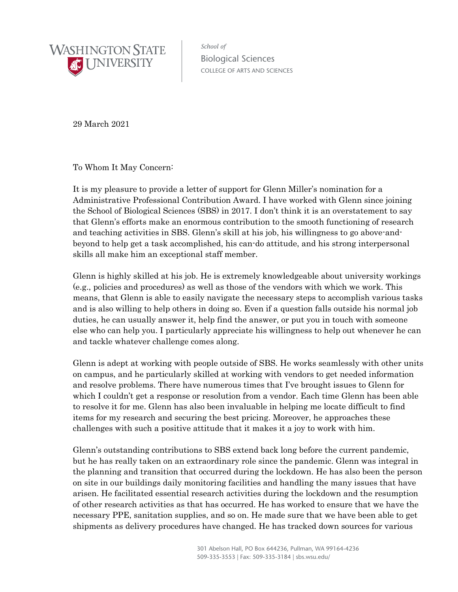

School of Biological Sciences COLLEGE OF ARTS AND SCIENCES

29 March 2021

To Whom It May Concern:

It is my pleasure to provide a letter of support for Glenn Miller's nomination for a Administrative Professional Contribution Award. I have worked with Glenn since joining the School of Biological Sciences (SBS) in 2017. I don't think it is an overstatement to say that Glenn's efforts make an enormous contribution to the smooth functioning of research and teaching activities in SBS. Glenn's skill at his job, his willingness to go above-andbeyond to help get a task accomplished, his can-do attitude, and his strong interpersonal skills all make him an exceptional staff member.

Glenn is highly skilled at his job. He is extremely knowledgeable about university workings (e.g., policies and procedures) as well as those of the vendors with which we work. This means, that Glenn is able to easily navigate the necessary steps to accomplish various tasks and is also willing to help others in doing so. Even if a question falls outside his normal job duties, he can usually answer it, help find the answer, or put you in touch with someone else who can help you. I particularly appreciate his willingness to help out whenever he can and tackle whatever challenge comes along.

Glenn is adept at working with people outside of SBS. He works seamlessly with other units on campus, and he particularly skilled at working with vendors to get needed information and resolve problems. There have numerous times that I've brought issues to Glenn for which I couldn't get a response or resolution from a vendor. Each time Glenn has been able to resolve it for me. Glenn has also been invaluable in helping me locate difficult to find items for my research and securing the best pricing. Moreover, he approaches these challenges with such a positive attitude that it makes it a joy to work with him.

Glenn's outstanding contributions to SBS extend back long before the current pandemic, but he has really taken on an extraordinary role since the pandemic. Glenn was integral in the planning and transition that occurred during the lockdown. He has also been the person on site in our buildings daily monitoring facilities and handling the many issues that have arisen. He facilitated essential research activities during the lockdown and the resumption of other research activities as that has occurred. He has worked to ensure that we have the necessary PPE, sanitation supplies, and so on. He made sure that we have been able to get shipments as delivery procedures have changed. He has tracked down sources for various